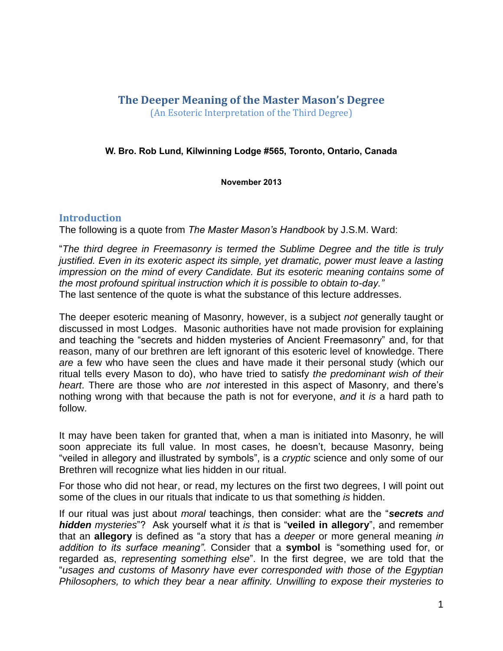# **The Deeper Meaning of the Master Mason's Degree** (An Esoteric Interpretation of the Third Degree)

### **W. Bro. Rob Lund, Kilwinning Lodge #565, Toronto, Ontario, Canada**

**November 2013**

### **Introduction**

The following is a quote from *The Master Mason's Handbook* by J.S.M. Ward:

"*The third degree in Freemasonry is termed the Sublime Degree and the title is truly justified. Even in its exoteric aspect its simple, yet dramatic, power must leave a lasting impression on the mind of every Candidate. But its esoteric meaning contains some of the most profound spiritual instruction which it is possible to obtain to-day."* The last sentence of the quote is what the substance of this lecture addresses.

The deeper esoteric meaning of Masonry, however, is a subject *not* generally taught or discussed in most Lodges. Masonic authorities have not made provision for explaining and teaching the "secrets and hidden mysteries of Ancient Freemasonry" and, for that reason, many of our brethren are left ignorant of this esoteric level of knowledge. There *are* a few who have seen the clues and have made it their personal study (which our ritual tells every Mason to do), who have tried to satisfy *the predominant wish of their heart*. There are those who are *not* interested in this aspect of Masonry, and there's nothing wrong with that because the path is not for everyone, *and* it *is* a hard path to follow.

It may have been taken for granted that, when a man is initiated into Masonry, he will soon appreciate its full value. In most cases, he doesn't, because Masonry, being "veiled in allegory and illustrated by symbols", is a *cryptic* science and only some of our Brethren will recognize what lies hidden in our ritual.

For those who did not hear, or read, my lectures on the first two degrees, I will point out some of the clues in our rituals that indicate to us that something *is* hidden.

If our ritual was just about *moral* teachings, then consider: what are the "*secrets and hidden mysteries*"? Ask yourself what it *is* that is "**veiled in allegory**", and remember that an **allegory** is defined as "a story that has a *deeper* or more general meaning *in addition to its surface meaning"*. Consider that a **symbol** is "something used for, or regarded as, *representing something else*". In the first degree, we are told that the "*usages and customs of Masonry have ever corresponded with those of the Egyptian Philosophers, to which they bear a near affinity. Unwilling to expose their mysteries to*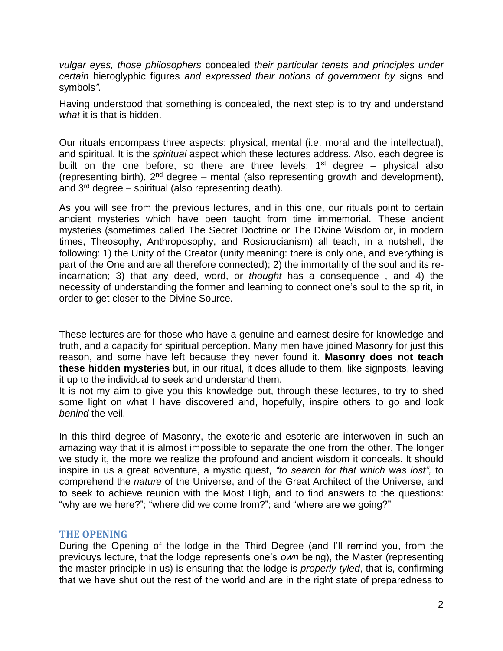*vulgar eyes, those philosophers* concealed *their particular tenets and principles under certain* hieroglyphic figures *and expressed their notions of government by* signs and symbols*".*

Having understood that something is concealed, the next step is to try and understand *what* it is that is hidden.

Our rituals encompass three aspects: physical, mental (i.e. moral and the intellectual), and spiritual. It is the *spiritual* aspect which these lectures address. Also, each degree is built on the one before, so there are three levels:  $1<sup>st</sup>$  degree – physical also (representing birth),  $2<sup>nd</sup>$  degree – mental (also representing growth and development), and 3 rd degree – spiritual (also representing death).

As you will see from the previous lectures, and in this one, our rituals point to certain ancient mysteries which have been taught from time immemorial. These ancient mysteries (sometimes called The Secret Doctrine or The Divine Wisdom or, in modern times, Theosophy, Anthroposophy, and Rosicrucianism) all teach, in a nutshell, the following: 1) the Unity of the Creator (unity meaning: there is only one, and everything is part of the One and are all therefore connected); 2) the immortality of the soul and its reincarnation; 3) that any deed, word, or *thought* has a consequence , and 4) the necessity of understanding the former and learning to connect one's soul to the spirit, in order to get closer to the Divine Source.

These lectures are for those who have a genuine and earnest desire for knowledge and truth, and a capacity for spiritual perception. Many men have joined Masonry for just this reason, and some have left because they never found it. **Masonry does not teach these hidden mysteries** but, in our ritual, it does allude to them, like signposts, leaving it up to the individual to seek and understand them.

It is not my aim to give you this knowledge but, through these lectures, to try to shed some light on what I have discovered and, hopefully, inspire others to go and look *behind* the veil.

In this third degree of Masonry, the exoteric and esoteric are interwoven in such an amazing way that it is almost impossible to separate the one from the other. The longer we study it, the more we realize the profound and ancient wisdom it conceals. It should inspire in us a great adventure, a mystic quest, *"to search for that which was lost",* to comprehend the *nature* of the Universe, and of the Great Architect of the Universe, and to seek to achieve reunion with the Most High, and to find answers to the questions: "why are we here?"; "where did we come from?"; and "where are we going?"

# **THE OPENING**

During the Opening of the lodge in the Third Degree (and I'll remind you, from the previouys lecture, that the lodge represents one's *own* being), the Master (representing the master principle in us) is ensuring that the lodge is *properly tyled*, that is, confirming that we have shut out the rest of the world and are in the right state of preparedness to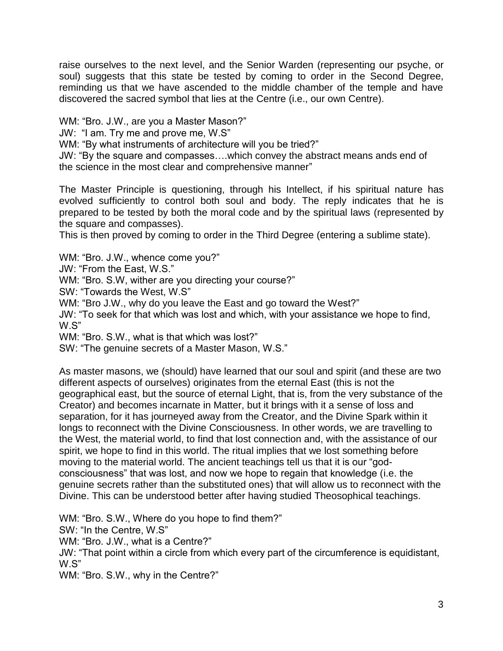raise ourselves to the next level, and the Senior Warden (representing our psyche, or soul) suggests that this state be tested by coming to order in the Second Degree, reminding us that we have ascended to the middle chamber of the temple and have discovered the sacred symbol that lies at the Centre (i.e., our own Centre).

WM: "Bro. J.W., are you a Master Mason?"

JW: "I am. Try me and prove me, W.S"

WM: "By what instruments of architecture will you be tried?"

JW: "By the square and compasses….which convey the abstract means ands end of the science in the most clear and comprehensive manner"

The Master Principle is questioning, through his Intellect, if his spiritual nature has evolved sufficiently to control both soul and body. The reply indicates that he is prepared to be tested by both the moral code and by the spiritual laws (represented by the square and compasses).

This is then proved by coming to order in the Third Degree (entering a sublime state).

WM: "Bro. J.W., whence come you?"

JW: "From the East, W.S."

WM: "Bro. S.W, wither are you directing your course?"

SW: "Towards the West, W.S"

WM: "Bro J.W., why do you leave the East and go toward the West?"

JW: "To seek for that which was lost and which, with your assistance we hope to find, W.S"

WM: "Bro. S.W., what is that which was lost?"

SW: "The genuine secrets of a Master Mason, W.S."

As master masons, we (should) have learned that our soul and spirit (and these are two different aspects of ourselves) originates from the eternal East (this is not the geographical east, but the source of eternal Light, that is, from the very substance of the Creator) and becomes incarnate in Matter, but it brings with it a sense of loss and separation, for it has journeyed away from the Creator, and the Divine Spark within it longs to reconnect with the Divine Consciousness. In other words, we are travelling to the West, the material world, to find that lost connection and, with the assistance of our spirit, we hope to find in this world. The ritual implies that we lost something before moving to the material world. The ancient teachings tell us that it is our "godconsciousness" that was lost, and now we hope to regain that knowledge (i.e. the genuine secrets rather than the substituted ones) that will allow us to reconnect with the Divine. This can be understood better after having studied Theosophical teachings.

WM: "Bro. S.W., Where do you hope to find them?" SW: "In the Centre, W.S" WM: "Bro. J.W., what is a Centre?" JW: "That point within a circle from which every part of the circumference is equidistant, W.S" WM: "Bro. S.W., why in the Centre?"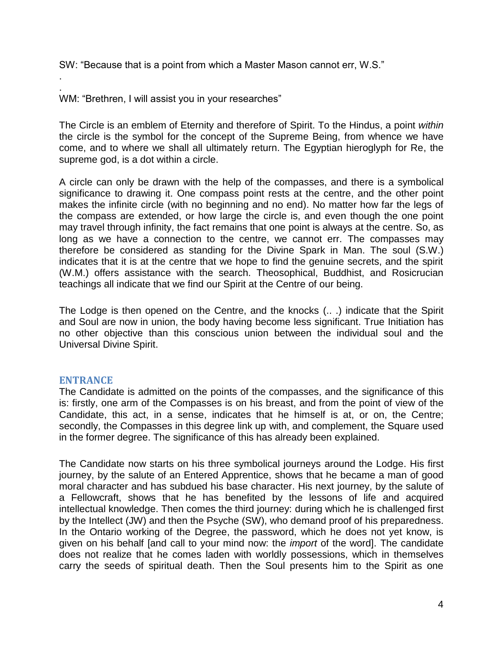SW: "Because that is a point from which a Master Mason cannot err, W.S."

. WM: "Brethren, I will assist you in your researches"

The Circle is an emblem of Eternity and therefore of Spirit. To the Hindus, a point *within* the circle is the symbol for the concept of the Supreme Being, from whence we have come, and to where we shall all ultimately return. The Egyptian hieroglyph for Re, the supreme god, is a dot within a circle.

A circle can only be drawn with the help of the compasses, and there is a symbolical significance to drawing it. One compass point rests at the centre, and the other point makes the infinite circle (with no beginning and no end). No matter how far the legs of the compass are extended, or how large the circle is, and even though the one point may travel through infinity, the fact remains that one point is always at the centre. So, as long as we have a connection to the centre, we cannot err. The compasses may therefore be considered as standing for the Divine Spark in Man. The soul (S.W.) indicates that it is at the centre that we hope to find the genuine secrets, and the spirit (W.M.) offers assistance with the search. Theosophical, Buddhist, and Rosicrucian teachings all indicate that we find our Spirit at the Centre of our being.

The Lodge is then opened on the Centre, and the knocks (.. .) indicate that the Spirit and Soul are now in union, the body having become less significant. True Initiation has no other objective than this conscious union between the individual soul and the Universal Divine Spirit.

# **ENTRANCE**

.

The Candidate is admitted on the points of the compasses, and the significance of this is: firstly, one arm of the Compasses is on his breast, and from the point of view of the Candidate, this act, in a sense, indicates that he himself is at, or on, the Centre; secondly, the Compasses in this degree link up with, and complement, the Square used in the former degree. The significance of this has already been explained.

The Candidate now starts on his three symbolical journeys around the Lodge. His first journey, by the salute of an Entered Apprentice, shows that he became a man of good moral character and has subdued his base character. His next journey, by the salute of a Fellowcraft, shows that he has benefited by the lessons of life and acquired intellectual knowledge. Then comes the third journey: during which he is challenged first by the Intellect (JW) and then the Psyche (SW), who demand proof of his preparedness. In the Ontario working of the Degree, the password, which he does not yet know, is given on his behalf [and call to your mind now: the *import* of the word]. The candidate does not realize that he comes laden with worldly possessions, which in themselves carry the seeds of spiritual death. Then the Soul presents him to the Spirit as one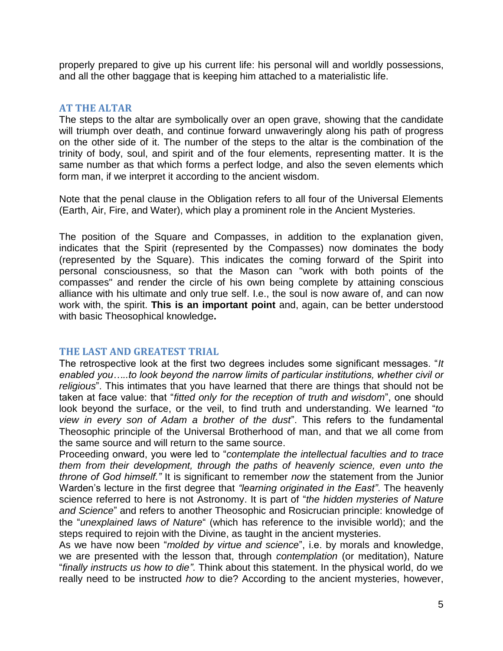properly prepared to give up his current life: his personal will and worldly possessions, and all the other baggage that is keeping him attached to a materialistic life.

#### **AT THE ALTAR**

The steps to the altar are symbolically over an open grave, showing that the candidate will triumph over death, and continue forward unwaveringly along his path of progress on the other side of it. The number of the steps to the altar is the combination of the trinity of body, soul, and spirit and of the four elements, representing matter. It is the same number as that which forms a perfect lodge, and also the seven elements which form man, if we interpret it according to the ancient wisdom.

Note that the penal clause in the Obligation refers to all four of the Universal Elements (Earth, Air, Fire, and Water), which play a prominent role in the Ancient Mysteries.

The position of the Square and Compasses, in addition to the explanation given, indicates that the Spirit (represented by the Compasses) now dominates the body (represented by the Square). This indicates the coming forward of the Spirit into personal consciousness, so that the Mason can "work with both points of the compasses" and render the circle of his own being complete by attaining conscious alliance with his ultimate and only true self. I.e., the soul is now aware of, and can now work with, the spirit. **This is an important point** and, again, can be better understood with basic Theosophical knowledge**.**

# **THE LAST AND GREATEST TRIAL**

The retrospective look at the first two degrees includes some significant messages. "*It enabled you…..to look beyond the narrow limits of particular institutions, whether civil or religious*". This intimates that you have learned that there are things that should not be taken at face value: that "*fitted only for the reception of truth and wisdom*", one should look beyond the surface, or the veil, to find truth and understanding. We learned "*to view in every son of Adam a brother of the dust*". This refers to the fundamental Theosophic principle of the Universal Brotherhood of man, and that we all come from the same source and will return to the same source.

Proceeding onward, you were led to "*contemplate the intellectual faculties and to trace them from their development, through the paths of heavenly science, even unto the throne of God himself."* It is significant to remember *now* the statement from the Junior Warden's lecture in the first degree that *"learning originated in the East"*. The heavenly science referred to here is not Astronomy. It is part of "*the hidden mysteries of Nature and Science*" and refers to another Theosophic and Rosicrucian principle: knowledge of the "*unexplained laws of Nature*" (which has reference to the invisible world); and the steps required to rejoin with the Divine, as taught in the ancient mysteries.

As we have now been "*molded by virtue and science*", i.e. by morals and knowledge, we are presented with the lesson that, through *contemplation* (or meditation), Nature "*finally instructs us how to die"*. Think about this statement. In the physical world, do we really need to be instructed *how* to die? According to the ancient mysteries, however,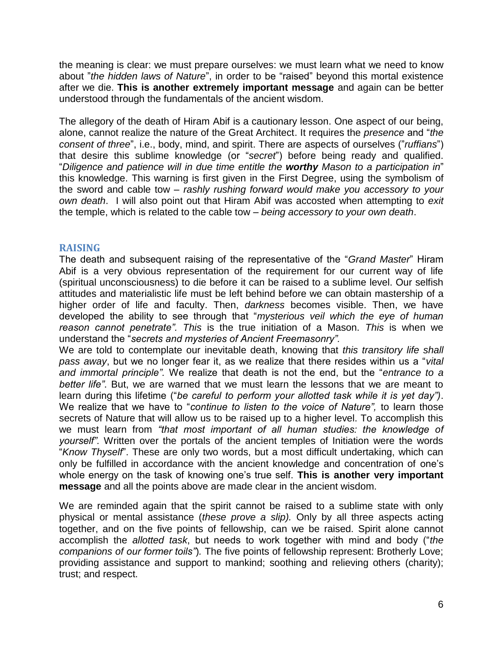the meaning is clear: we must prepare ourselves: we must learn what we need to know about "*the hidden laws of Nature*", in order to be "raised" beyond this mortal existence after we die. **This is another extremely important message** and again can be better understood through the fundamentals of the ancient wisdom.

The allegory of the death of Hiram Abif is a cautionary lesson. One aspect of our being, alone, cannot realize the nature of the Great Architect. It requires the *presence* and "*the consent of three*", i.e., body, mind, and spirit. There are aspects of ourselves ("*ruffians*") that desire this sublime knowledge (or "*secret*") before being ready and qualified. "*Diligence and patience will in due time entitle the worthy Mason to a participation in*" this knowledge. This warning is first given in the First Degree, using the symbolism of the sword and cable tow – *rashly rushing forward would make you accessory to your own death*. I will also point out that Hiram Abif was accosted when attempting to *exit* the temple, which is related to the cable tow – *being accessory to your own death*.

# **RAISING**

The death and subsequent raising of the representative of the "*Grand Master*" Hiram Abif is a very obvious representation of the requirement for our current way of life (spiritual unconsciousness) to die before it can be raised to a sublime level. Our selfish attitudes and materialistic life must be left behind before we can obtain mastership of a higher order of life and faculty. Then, *darkness* becomes visible. Then, we have developed the ability to see through that "*mysterious veil which the eye of human reason cannot penetrate". This* is the true initiation of a Mason. *This* is when we understand the "*secrets and mysteries of Ancient Freemasonry".*

We are told to contemplate our inevitable death, knowing that *this transitory life shall pass away*, but we no longer fear it, as we realize that there resides within us a "*vital and immortal principle".* We realize that death is not the end, but the "*entrance to a better life"*. But, we are warned that we must learn the lessons that we are meant to learn during this lifetime ("*be careful to perform your allotted task while it is yet day")*. We realize that we have to "*continue to listen to the voice of Nature",* to learn those secrets of Nature that will allow us to be raised up to a higher level. To accomplish this we must learn from *"that most important of all human studies: the knowledge of yourself".* Written over the portals of the ancient temples of Initiation were the words "*Know Thyself*". These are only two words, but a most difficult undertaking, which can only be fulfilled in accordance with the ancient knowledge and concentration of one's whole energy on the task of knowing one's true self. **This is another very important message** and all the points above are made clear in the ancient wisdom.

We are reminded again that the spirit cannot be raised to a sublime state with only physical or mental assistance (*these prove a slip).* Only by all three aspects acting together, and on the five points of fellowship, can we be raised. Spirit alone cannot accomplish the *allotted task*, but needs to work together with mind and body ("*the companions of our former toils"*)*.* The five points of fellowship represent: Brotherly Love; providing assistance and support to mankind; soothing and relieving others (charity); trust; and respect.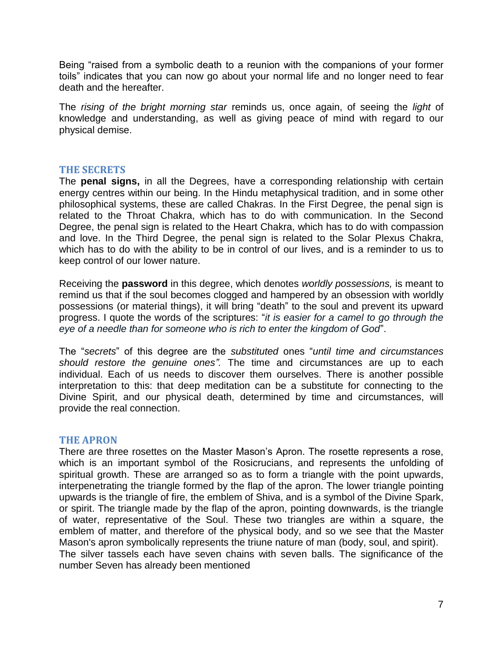Being "raised from a symbolic death to a reunion with the companions of your former toils" indicates that you can now go about your normal life and no longer need to fear death and the hereafter.

The *rising of the bright morning star* reminds us, once again, of seeing the *light* of knowledge and understanding, as well as giving peace of mind with regard to our physical demise.

### **THE SECRETS**

The **penal signs,** in all the Degrees, have a corresponding relationship with certain energy centres within our being. In the Hindu metaphysical tradition, and in some other philosophical systems, these are called Chakras. In the First Degree, the penal sign is related to the Throat Chakra, which has to do with communication. In the Second Degree, the penal sign is related to the Heart Chakra, which has to do with compassion and love. In the Third Degree, the penal sign is related to the Solar Plexus Chakra, which has to do with the ability to be in control of our lives, and is a reminder to us to keep control of our lower nature.

Receiving the **password** in this degree, which denotes *worldly possessions,* is meant to remind us that if the soul becomes clogged and hampered by an obsession with worldly possessions (or material things), it will bring "death" to the soul and prevent its upward progress. I quote the words of the scriptures: "*it is easier for a camel to go through the eye of a needle than for someone who is rich to enter the kingdom of God*".

The "*secrets*" of this degree are the *substituted* ones "*until time and circumstances should restore the genuine ones".* The time and circumstances are up to each individual. Each of us needs to discover them ourselves. There is another possible interpretation to this: that deep meditation can be a substitute for connecting to the Divine Spirit, and our physical death, determined by time and circumstances, will provide the real connection.

#### **THE APRON**

There are three rosettes on the Master Mason's Apron. The rosette represents a rose, which is an important symbol of the Rosicrucians, and represents the unfolding of spiritual growth. These are arranged so as to form a triangle with the point upwards, interpenetrating the triangle formed by the flap of the apron. The lower triangle pointing upwards is the triangle of fire, the emblem of Shiva, and is a symbol of the Divine Spark, or spirit. The triangle made by the flap of the apron, pointing downwards, is the triangle of water, representative of the Soul. These two triangles are within a square, the emblem of matter, and therefore of the physical body, and so we see that the Master Mason's apron symbolically represents the triune nature of man (body, soul, and spirit). The silver tassels each have seven chains with seven balls. The significance of the number Seven has already been mentioned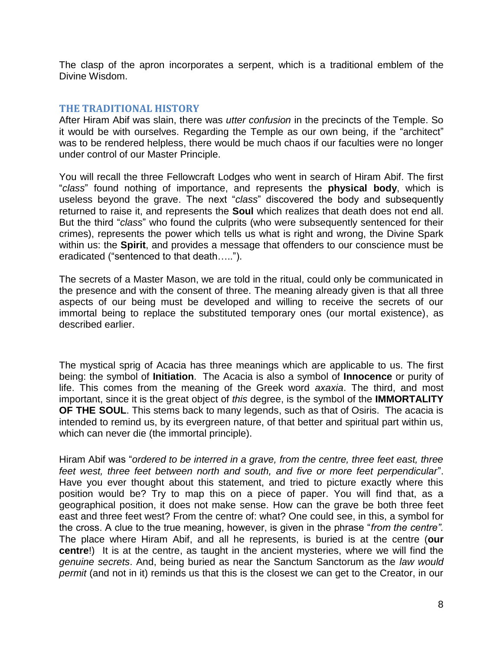The clasp of the apron incorporates a serpent, which is a traditional emblem of the Divine Wisdom.

#### **THE TRADITIONAL HISTORY**

After Hiram Abif was slain, there was *utter confusion* in the precincts of the Temple. So it would be with ourselves. Regarding the Temple as our own being, if the "architect" was to be rendered helpless, there would be much chaos if our faculties were no longer under control of our Master Principle.

You will recall the three Fellowcraft Lodges who went in search of Hiram Abif. The first "*class*" found nothing of importance, and represents the **physical body**, which is useless beyond the grave. The next "*class*" discovered the body and subsequently returned to raise it, and represents the **Soul** which realizes that death does not end all. But the third "*class*" who found the culprits (who were subsequently sentenced for their crimes), represents the power which tells us what is right and wrong, the Divine Spark within us: the **Spirit**, and provides a message that offenders to our conscience must be eradicated ("sentenced to that death…..").

The secrets of a Master Mason, we are told in the ritual, could only be communicated in the presence and with the consent of three. The meaning already given is that all three aspects of our being must be developed and willing to receive the secrets of our immortal being to replace the substituted temporary ones (our mortal existence), as described earlier.

The mystical sprig of Acacia has three meanings which are applicable to us. The first being: the symbol of **Initiation**. The Acacia is also a symbol of **Innocence** or purity of life. This comes from the meaning of the Greek word *axaxia*. The third, and most important, since it is the great object of *this* degree, is the symbol of the **IMMORTALITY OF THE SOUL**. This stems back to many legends, such as that of Osiris. The acacia is intended to remind us, by its evergreen nature, of that better and spiritual part within us, which can never die (the immortal principle).

Hiram Abif was "*ordered to be interred in a grave, from the centre, three feet east, three feet west, three feet between north and south, and five or more feet perpendicular*". Have you ever thought about this statement, and tried to picture exactly where this position would be? Try to map this on a piece of paper. You will find that, as a geographical position, it does not make sense. How can the grave be both three feet east and three feet west? From the centre of: what? One could see, in this, a symbol for the cross. A clue to the true meaning, however, is given in the phrase "*from the centre".* The place where Hiram Abif, and all he represents, is buried is at the centre (**our centre**!) It is at the centre, as taught in the ancient mysteries, where we will find the *genuine secrets*. And, being buried as near the Sanctum Sanctorum as the *law would permit* (and not in it) reminds us that this is the closest we can get to the Creator, in our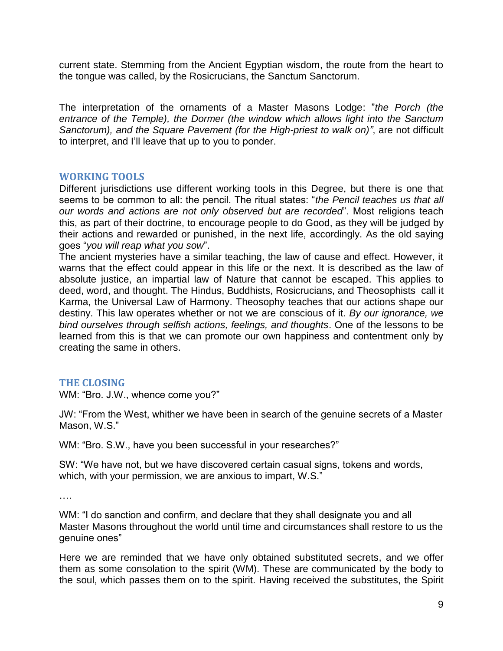current state. Stemming from the Ancient Egyptian wisdom, the route from the heart to the tongue was called, by the Rosicrucians, the Sanctum Sanctorum.

The interpretation of the ornaments of a Master Masons Lodge: "*the Porch (the entrance of the Temple), the Dormer (the window which allows light into the Sanctum Sanctorum), and the Square Pavement (for the High-priest to walk on)"*, are not difficult to interpret, and I'll leave that up to you to ponder.

### **WORKING TOOLS**

Different jurisdictions use different working tools in this Degree, but there is one that seems to be common to all: the pencil. The ritual states: "*the Pencil teaches us that all our words and actions are not only observed but are recorded*". Most religions teach this, as part of their doctrine, to encourage people to do Good, as they will be judged by their actions and rewarded or punished, in the next life, accordingly. As the old saying goes "*you will reap what you sow*".

The ancient mysteries have a similar teaching, the law of cause and effect. However, it warns that the effect could appear in this life or the next. It is described as the law of absolute justice, an impartial law of Nature that cannot be escaped. This applies to deed, word, and thought. The Hindus, Buddhists, Rosicrucians, and Theosophists call it Karma, the Universal Law of Harmony. Theosophy teaches that our actions shape our destiny. This law operates whether or not we are conscious of it. *By our ignorance, we bind ourselves through selfish actions, feelings, and thoughts*. One of the lessons to be learned from this is that we can promote our own happiness and contentment only by creating the same in others.

#### **THE CLOSING**

WM: "Bro. J.W., whence come you?"

JW: "From the West, whither we have been in search of the genuine secrets of a Master Mason, W.S."

WM: "Bro. S.W., have you been successful in your researches?"

SW: "We have not, but we have discovered certain casual signs, tokens and words, which, with your permission, we are anxious to impart, W.S."

….

WM: "I do sanction and confirm, and declare that they shall designate you and all Master Masons throughout the world until time and circumstances shall restore to us the genuine ones"

Here we are reminded that we have only obtained substituted secrets, and we offer them as some consolation to the spirit (WM). These are communicated by the body to the soul, which passes them on to the spirit. Having received the substitutes, the Spirit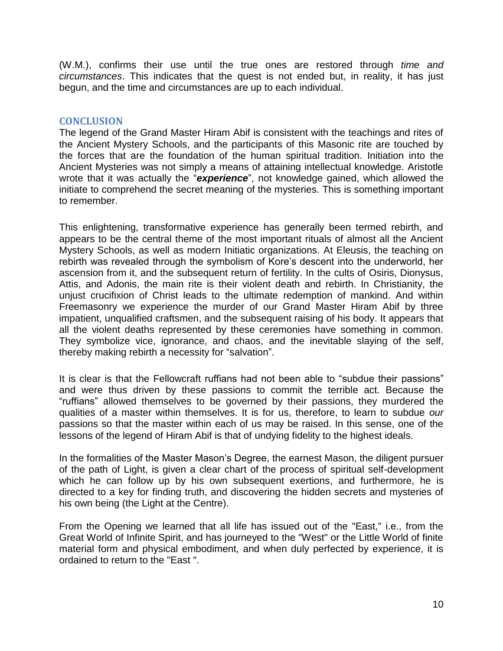(W.M.), confirms their use until the true ones are restored through *time and circumstances*. This indicates that the quest is not ended but, in reality, it has just begun, and the time and circumstances are up to each individual.

# **CONCLUSION**

The legend of the Grand Master Hiram Abif is consistent with the teachings and rites of the Ancient Mystery Schools, and the participants of this Masonic rite are touched by the forces that are the foundation of the human spiritual tradition. Initiation into the Ancient Mysteries was not simply a means of attaining intellectual knowledge. Aristotle wrote that it was actually the "*experience*", not knowledge gained, which allowed the initiate to comprehend the secret meaning of the mysteries. This is something important to remember.

This enlightening, transformative experience has generally been termed rebirth, and appears to be the central theme of the most important rituals of almost all the Ancient Mystery Schools, as well as modern Initiatic organizations. At Eleusis, the teaching on rebirth was revealed through the symbolism of Kore's descent into the underworld, her ascension from it, and the subsequent return of fertility. In the cults of Osiris, Dionysus, Attis, and Adonis, the main rite is their violent death and rebirth. In Christianity, the unjust crucifixion of Christ leads to the ultimate redemption of mankind. And within Freemasonry we experience the murder of our Grand Master Hiram Abif by three impatient, unqualified craftsmen, and the subsequent raising of his body. It appears that all the violent deaths represented by these ceremonies have something in common. They symbolize vice, ignorance, and chaos, and the inevitable slaying of the self, thereby making rebirth a necessity for "salvation".

It is clear is that the Fellowcraft ruffians had not been able to "subdue their passions" and were thus driven by these passions to commit the terrible act. Because the "ruffians" allowed themselves to be governed by their passions, they murdered the qualities of a master within themselves. It is for us, therefore, to learn to subdue *our* passions so that the master within each of us may be raised. In this sense, one of the lessons of the legend of Hiram Abif is that of undying fidelity to the highest ideals.

In the formalities of the Master Mason's Degree, the earnest Mason, the diligent pursuer of the path of Light, is given a clear chart of the process of spiritual self-development which he can follow up by his own subsequent exertions, and furthermore, he is directed to a key for finding truth, and discovering the hidden secrets and mysteries of his own being (the Light at the Centre).

From the Opening we learned that all life has issued out of the "East," i.e., from the Great World of Infinite Spirit, and has journeyed to the "West" or the Little World of finite material form and physical embodiment, and when duly perfected by experience, it is ordained to return to the "East ".